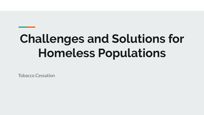## **Challenges and Solutions for Homeless Populations**

Tobacco Cessation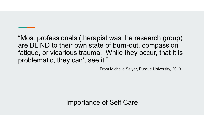"Most professionals (therapist was the research group) are BLIND to their own state of burn-out, compassion fatigue, or vicarious trauma. While they occur, that it is problematic, they can't see it."

From Michelle Salyer, Purdue University, 2013

Importance of Self Care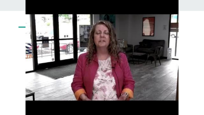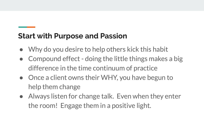### **Start with Purpose and Passion**

- Why do you desire to help others kick this habit
- Compound effect doing the little things makes a big difference in the time continuum of practice
- Once a client owns their WHY, you have begun to help them change
- Always listen for change talk. Even when they enter the room! Engage them in a positive light.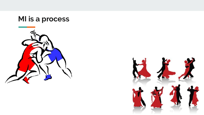### **MI** is a process



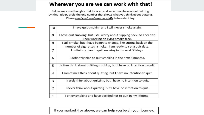#### Wherever you are we can work with that!

Below are some thoughts that tobacco and vape users have about quitting. On this ladder, circle the one number that shows what you think about quitting. Please read each sentence carefully before deciding.

| 10           | I have quit smoking and I will never smoke again.                                                                                   |  |  |
|--------------|-------------------------------------------------------------------------------------------------------------------------------------|--|--|
| 9            | I have quit smoking, but I still worry about slipping back, so I need to<br>keep working on living smoke free.                      |  |  |
| 8            | I still smoke, but I have begun to change, like cutting back on the<br>number of cigarettes I smoke. I am ready to set a quit date. |  |  |
| 7            | I definitely plan to quit smoking in the next 30 days.                                                                              |  |  |
| 6            | I definitely plan to quit smoking in the next 6 months.                                                                             |  |  |
| 5            | I often think about quitting smoking, but I have no intention to quit.                                                              |  |  |
| 4            | I sometimes think about quitting, but I have no intention to quit.                                                                  |  |  |
| 3            | I rarely think about quitting, but I have no intention to quit.                                                                     |  |  |
| 2            | I never think about quitting, but I have no intention to quit.                                                                      |  |  |
| $\mathbf{1}$ | I enjoy smoking and have decided not to quit in my lifetime.                                                                        |  |  |

If you marked 4 or above, we can help you begin your journey.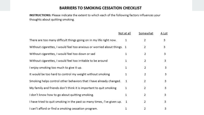#### **BARRIERS TO SMOKING CESSATION CHECKLIST**

INSTRUCTIONS: Please indicate the extent to which each of the following factors influences your thoughts about quitting smoking.

|                                                                         | Not at all   | Somewhat       | A Lot                   |
|-------------------------------------------------------------------------|--------------|----------------|-------------------------|
| There are too many difficult things going on in my life right now.      | 1            | 2              | 3                       |
| Without cigarettes, I would feel too anxious or worried about things. 1 |              | 2              | $\overline{\mathbf{3}}$ |
| Without cigarettes, I would feel too down or sad                        |              | 2              | 3                       |
| Without cigarettes, I would feel too irritable to be around             |              | 2              | 3                       |
| I enjoy smoking too much to give it up.                                 |              | 2              | 3                       |
| It would be too hard to control my weight without smoking               | 1            | 2              | з                       |
| Smoking helps control other behaviors that I have already changed.      | 1            | 2              | 3                       |
| My family and friends don't think it is important to quit smoking       |              | 2              | 3                       |
| I don't know how to go about quitting smoking.                          |              | 2              | 3                       |
| I have tried to quit smoking in the past so many times, I've given up.  | $\mathbf{1}$ | $\overline{2}$ | 3                       |
| I can't afford or find a smoking cessation program.                     |              | 2              | 3                       |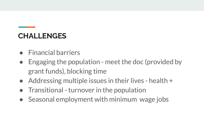## **CHALLENGES**

- Financial barriers
- Engaging the population meet the doc (provided by grant funds), blocking time
- Addressing multiple issues in their lives health +
- Transitional turnover in the population
- Seasonal employment with minimum wage jobs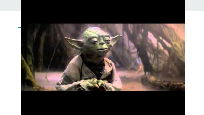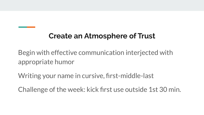### **Create an Atmosphere of Trust**

Begin with effective communication interjected with appropriate humor

Writing your name in cursive, first-middle-last

Challenge of the week: kick first use outside 1st 30 min.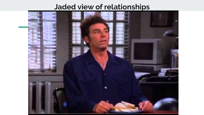#### **[Jaded view of relationships](http://www.youtube.com/watch?v=WqUmWp-Hbf8)**

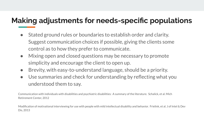## **Making adjustments for needs-specific populations**

- Stated ground rules or boundaries to establish order and clarity. Suggest communication choices if possible, giving the clients some control as to how they prefer to communicate.
- Mixing open and closed questions may be necessary to promote simplicity and encourage the client to open up.
- Brevity, with easy-to-understand language, should be a priority.
- Use summaries and check for understanding by reflecting what you understood them to say.

Communication with individuals with disabilities and psychiatric disabilities: A summary of the literature. Schalick, et al. Mich Retirement Center, 2012

Modification of motivational interviewing for use with people with mild intellectual disability and behavior. Frielink, et al. J of Intel & Dev Dis, 2013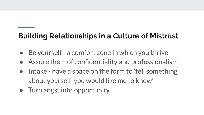## **Building Relationships in a Culture of Mistrust**

- Be yourself a comfort zone in which you thrive
- Assure them of confidentiality and professionalism
- Intake have a space on the form to 'tell something about yourself you would like me to know'
- Turn angst into opportunity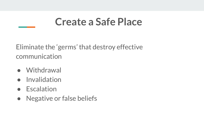## **Create a Safe Place**

Eliminate the 'germs' that destroy effective communication

- Withdrawal
- Invalidation
- Escalation
- Negative or false beliefs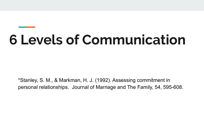# **6 Levels of Communication**

\*Stanley, S. M., & Markman, H. J. (1992). Assessing commitment in personal relationships. Journal of Marriage and The Family, 54, 595-608.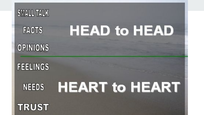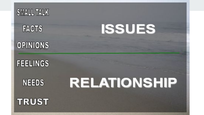



**OPINIONS** 

## **ISSUES**

**FEELINGS** 



## **RELATIONSHIP**

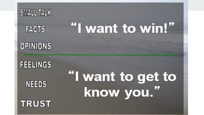

## **FACTS**

# "I want to win!"

## **OPINIONS**



**NEEDS** 

**TRUST** 

# "I want to get to know you."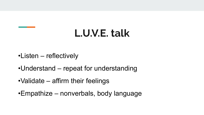## **L.U.V.E. talk**

- •Listen reflectively
- •Understand repeat for understanding
- •Validate affirm their feelings
- •Empathize nonverbals, body language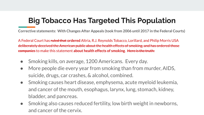## **Big Tobacco Has Targeted This Population**

**Corrective statements: With Changes After Appeals (took from 2006 until 2017 in the Federal Courts)**

A Federal Court has ruled that **ordered** Altria, R.J. Reynolds Tobacco, Lorillard, and Philip Morris USA deliberately deceived the American public about the health effects of smoking, and has ordered those companies to make this statement **about health effects of smoking**. Here is the truth:

- Smoking kills, on average, 1200 Americans. Every day.
- More people die every year from smoking than from murder, AIDS, suicide, drugs, car crashes, & alcohol, combined.
- Smoking causes heart disease, emphysema, acute myeloid leukemia, and cancer of the mouth, esophagus, larynx, lung, stomach, kidney, bladder, and pancreas.
- Smoking also causes reduced fertility, low birth weight in newborns, and cancer of the cervix.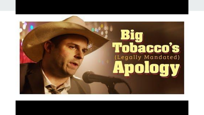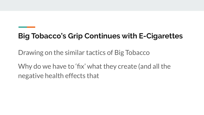## **Big Tobacco's Grip Continues with E-Cigarettes**

Drawing on the similar tactics of Big Tobacco

Why do we have to 'fix' what they create (and all the negative health effects that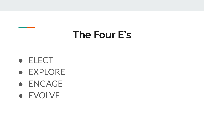## **The Four E's**

- ELECT
- EXPLORE
- ENGAGE
- EVOLVE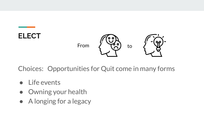

Choices: Opportunities for Quit come in many forms

- Life events
- Owning your health
- A longing for a legacy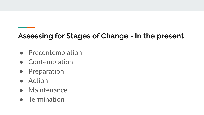## **Assessing for Stages of Change - In the present**

- Precontemplation
- Contemplation
- Preparation
- Action
- Maintenance
- Termination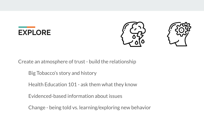





Create an atmosphere of trust - build the relationship

Big Tobacco's story and history

Health Education 101 - ask them what they know

Evidenced-based information about issues

Change - being told vs. learning/exploring new behavior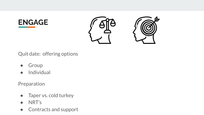





Quit date: offering options

- Group
- Individual

Preparation

- Taper vs. cold turkey
- NRT's
- Contracts and support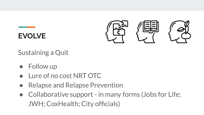

### **EVOLVE**

### Sustaining a Quit

- Follow up
- Lure of no cost NRT OTC
- Relapse and Relapse Prevention
- Collaborative support in many forms (Jobs for Life; JWH; CoxHealth; City officials)